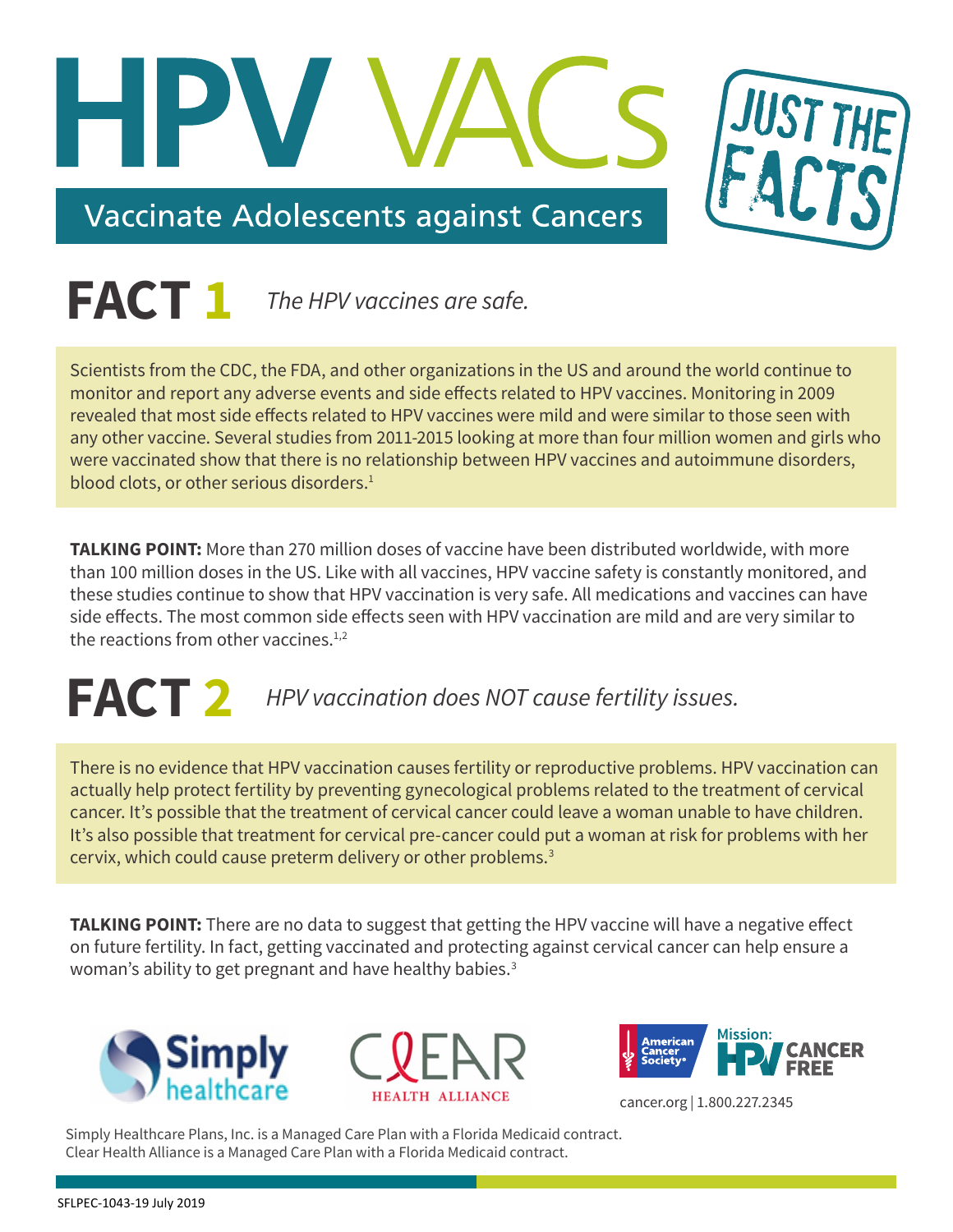



Scientists from the CDC, the FDA, and other organizations in the US and around the world continue to monitor and report any adverse events and side effects related to HPV vaccines. Monitoring in 2009 revealed that most side effects related to HPV vaccines were mild and were similar to those seen with any other vaccine. Several studies from 2011-2015 looking at more than four million women and girls who were vaccinated show that there is no relationship between HPV vaccines and autoimmune disorders, blood clots, or other serious disorders.<sup>[1](#page-4-0)</sup>

**TALKING POINT:** More than 270 million doses of vaccine have been distributed worldwide, with more than 100 million doses in the US. Like with all vaccines, HPV vaccine safety is constantly monitored, and these studies continue to show that HPV vaccination is very safe. All medications and vaccines can have side effects. The most common side effects seen with HPV vaccination are mild and are very similar to the reactions from other vaccines.<sup>1,[2](#page-4-1)</sup>

# **FACT 2** *HPV vaccination does NOT cause fertility issues.*

There is no evidence that HPV vaccination causes fertility or reproductive problems. HPV vaccination can actually help protect fertility by preventing gynecological problems related to the treatment of cervical cancer. It's possible that the treatment of cervical cancer could leave a woman unable to have children. It's also possible that treatment for cervical pre-cancer could put a woman at risk for problems with her cervix, which could cause preterm delivery or other problems.<sup>[3](#page-4-2)</sup>

**TALKING POINT:** There are no data to suggest that getting the HPV vaccine will have a negative effect on future fertility. In fact, getting vaccinated and protecting against cervical cancer can help ensure a woman's ability to get pregnant and have healthy babies.<sup>[3](#page-4-2)</sup>







cancer.org | 1.800.227.2345

Simply Healthcare Plans, Inc. is a Managed Care Plan with a Florida Medicaid contract. Clear Health Alliance is a Managed Care Plan with a Florida Medicaid contract.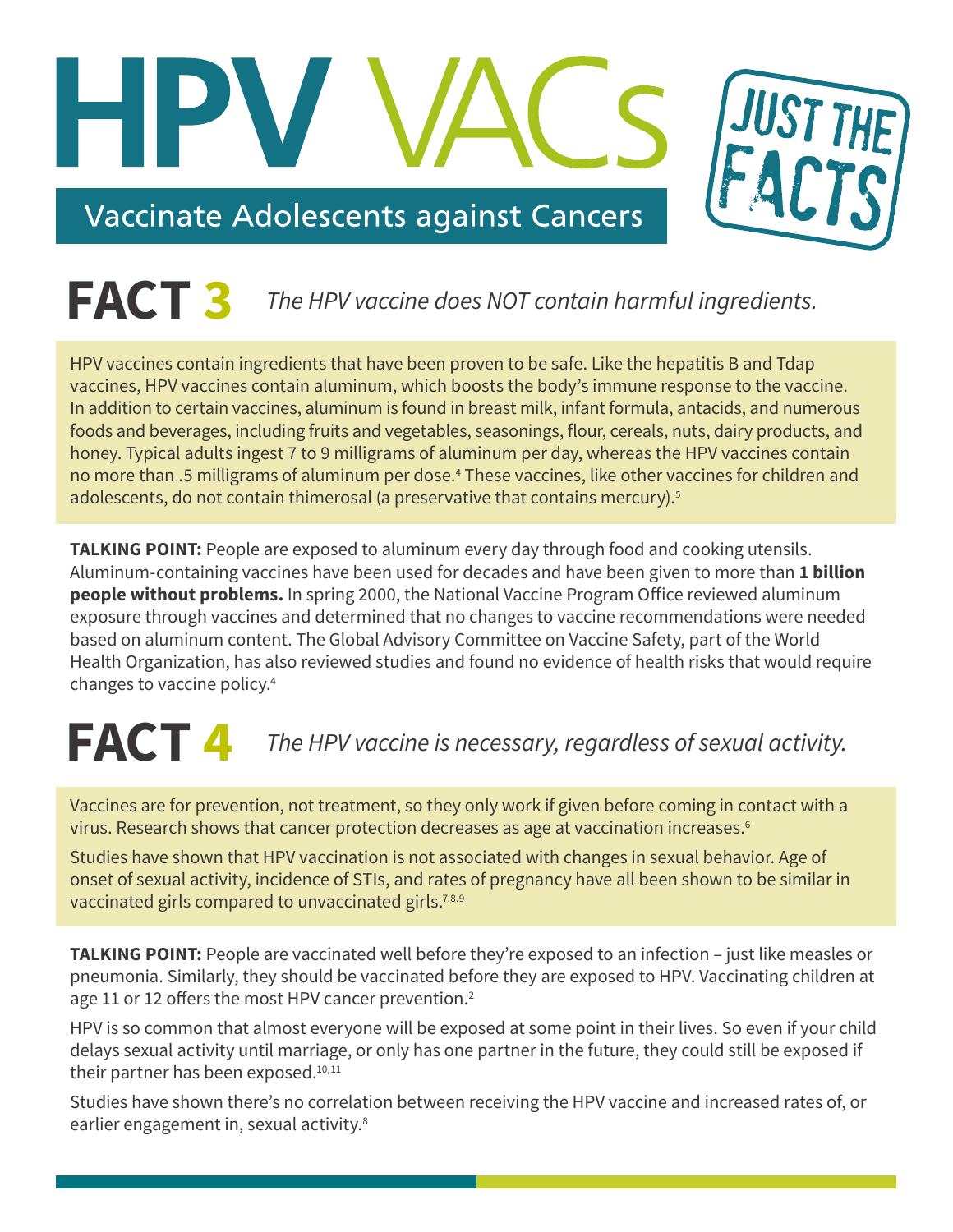

### **FACT 3** *The HPV vaccine does NOT contain harmful ingredients.*

HPV vaccines contain ingredients that have been proven to be safe. Like the hepatitis B and Tdap vaccines, HPV vaccines contain aluminum, which boosts the body's immune response to the vaccine. In addition to certain vaccines, aluminum is found in breast milk, infant formula, antacids, and numerous foods and beverages, including fruits and vegetables, seasonings, flour, cereals, nuts, dairy products, and honey. Typical adults ingest 7 to 9 milligrams of aluminum per day, whereas the HPV vaccines contain no more than .5 milligrams of aluminum per dose.<sup>[4](#page-4-3)</sup> These vaccines, like other vaccines for children and adolescents, do not contain thimerosal (a preservative that contains mercury).<sup>[5](#page-4-4)</sup>

**TALKING POINT:** People are exposed to aluminum every day through food and cooking utensils. Aluminum-containing vaccines have been used for decades and have been given to more than **1 billion people without problems.** In spring 2000, the National Vaccine Program Office reviewed aluminum exposure through vaccines and determined that no changes to vaccine recommendations were needed based on aluminum content. The Global Advisory Committee on Vaccine Safety, part of the World Health Organization, has also reviewed studies and found no evidence of health risks that would require changes to vaccine policy.[4](#page-4-3)

# **FACT 4** *The HPV vaccine is necessary, regardless of sexual activity.*

Vaccines are for prevention, not treatment, so they only work if given before coming in contact with a virus. Research shows that cancer protection decreases as age at vaccination increases.<sup>[6](#page-4-5)</sup>

Studies have shown that HPV vaccination is not associated with changes in sexual behavior. Age of onset of sexual activity, incidence of STIs, and rates of pregnancy have all been shown to be similar in vaccinated girls compared to unvaccinated girls.<sup>7,[8](#page-4-7),[9](#page-4-8)</sup>

**TALKING POINT:** People are vaccinated well before they're exposed to an infection – just like measles or pneumonia. Similarly, they should be vaccinated before they are exposed to HPV. Vaccinating children at age 11 or 12 offers the most HPV cancer prevention.<sup>2</sup>

HPV is so common that almost everyone will be exposed at some point in their lives. So even if your child delays sexual activity until marriage, or only has one partner in the future, they could still be exposed if their partner has been exposed.<sup>10,[11](#page-4-10)</sup>

Studies have shown there's no correlation between receiving the HPV vaccine and increased rates of, or earlier engagement in, sexual activity.<sup>[8](#page-4-7)</sup>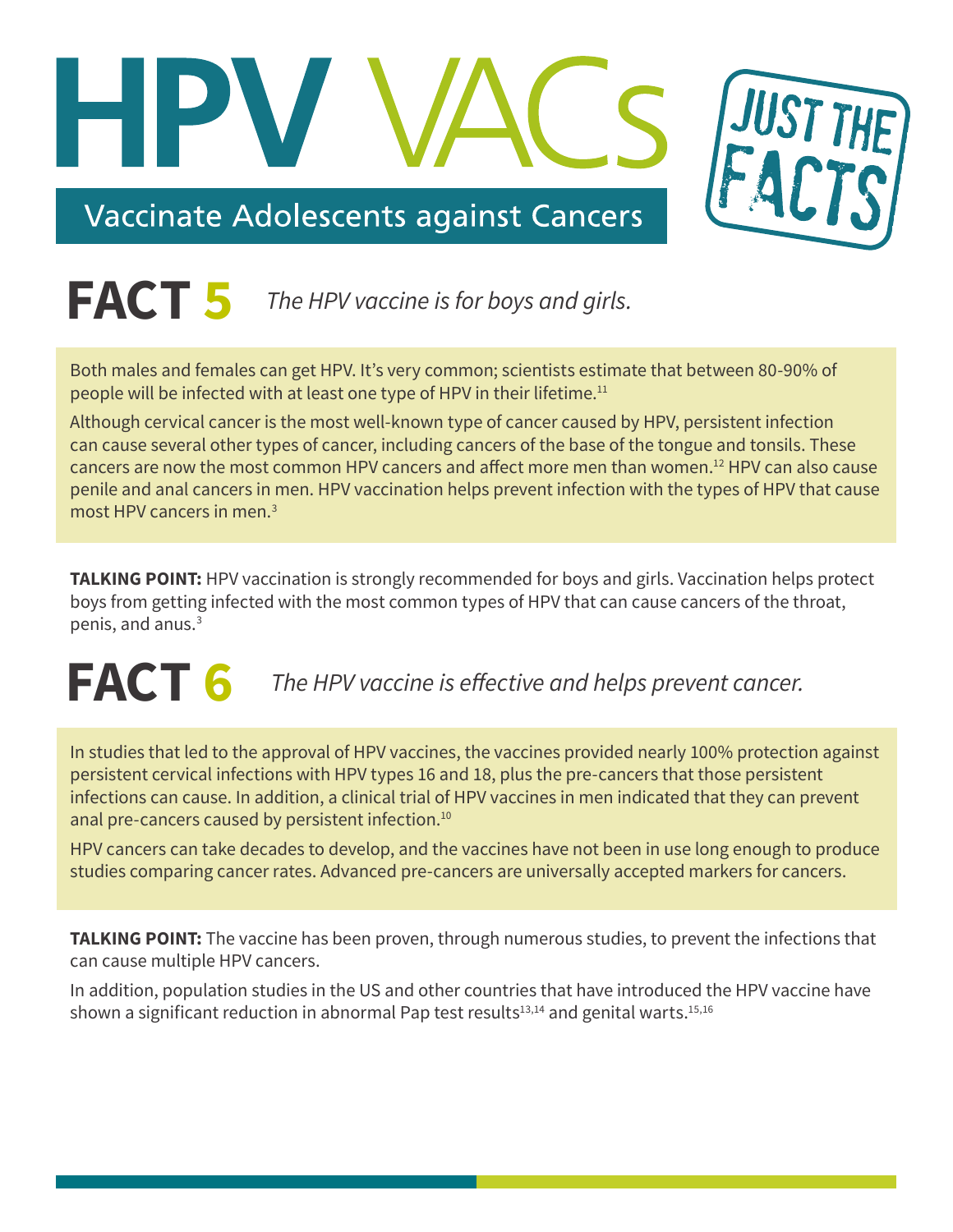

## **FACT 5** *The HPV vaccine is for boys and girls.*

Both males and females can get HPV. It's very common; scientists estimate that between 80-90% of people will be infected with at least one type of HPV in their lifetime.[11](#page-4-10)

Although cervical cancer is the most well-known type of cancer caused by HPV, persistent infection can cause several other types of cancer, including cancers of the base of the tongue and tonsils. These cancers are now the most common HPV cancers and affect more men than women.<sup>12</sup> HPV can also cause penile and anal cancers in men. HPV vaccination helps prevent infection with the types of HPV that cause most HPV cancers in men.[3](#page-4-2)

**TALKING POINT:** HPV vaccination is strongly recommended for boys and girls. Vaccination helps protect boys from getting infected with the most common types of HPV that can cause cancers of the throat, penis, and anus.<sup>[3](#page-4-2)</sup>

# **FACT 6** The HPV vaccine is effective and helps prevent cancer.

In studies that led to the approval of HPV vaccines, the vaccines provided nearly 100% protection against persistent cervical infections with HPV types 16 and 18, plus the pre-cancers that those persistent infections can cause. In addition, a clinical trial of HPV vaccines in men indicated that they can prevent anal pre-cancers caused by persistent infection.<sup>10</sup>

HPV cancers can take decades to develop, and the vaccines have not been in use long enough to produce studies comparing cancer rates. Advanced pre-cancers are universally accepted markers for cancers.

**TALKING POINT:** The vaccine has been proven, through numerous studies, to prevent the infections that can cause multiple HPV cancers.

In addition, population studies in the US and other countries that have introduced the HPV vaccine have shown a significant reduction in abnormal Pap test results<sup>13[,14](#page-4-13)</sup> and genital warts.<sup>15,[16](#page-5-1)</sup>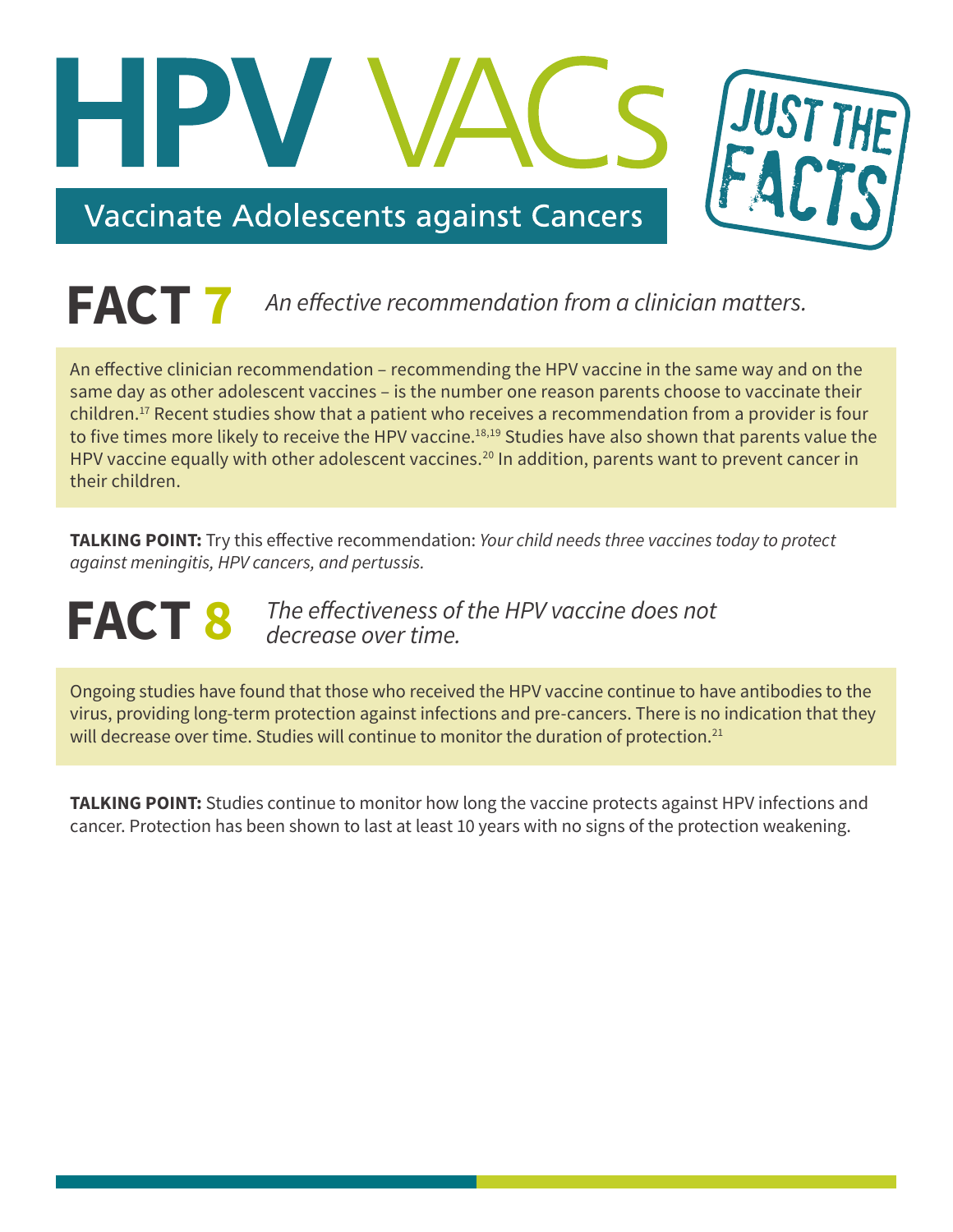

### **FACT** 7 An effective recommendation from a clinician matters.

An effective clinician recommendation – recommending the HPV vaccine in the same way and on the same day as other adolescent vaccines – is the number one reason parents choose to vaccinate their children.[17](#page-5-2) Recent studies show that a patient who receives a recommendation from a provider is four to five times more likely to receive the HPV vaccine.<sup>18,[19](#page-5-4)</sup> Studies have also shown that parents value the HPV vaccine equally with other adolescent vaccines.<sup>[20](#page-5-5)</sup> In addition, parents want to prevent cancer in their children.

**TALKING POINT:** Try this effective recommendation: Your child needs three vaccines today to protect against meningitis, HPV cancers, and pertussis.

**FACT 8** The effectiveness of the HPV vaccine does not *decrease over time.*

Ongoing studies have found that those who received the HPV vaccine continue to have antibodies to the virus, providing long-term protection against infections and pre-cancers. There is no indication that they will decrease over time. Studies will continue to monitor the duration of protection.<sup>[21](#page-5-6)</sup>

**TALKING POINT:** Studies continue to monitor how long the vaccine protects against HPV infections and cancer. Protection has been shown to last at least 10 years with no signs of the protection weakening.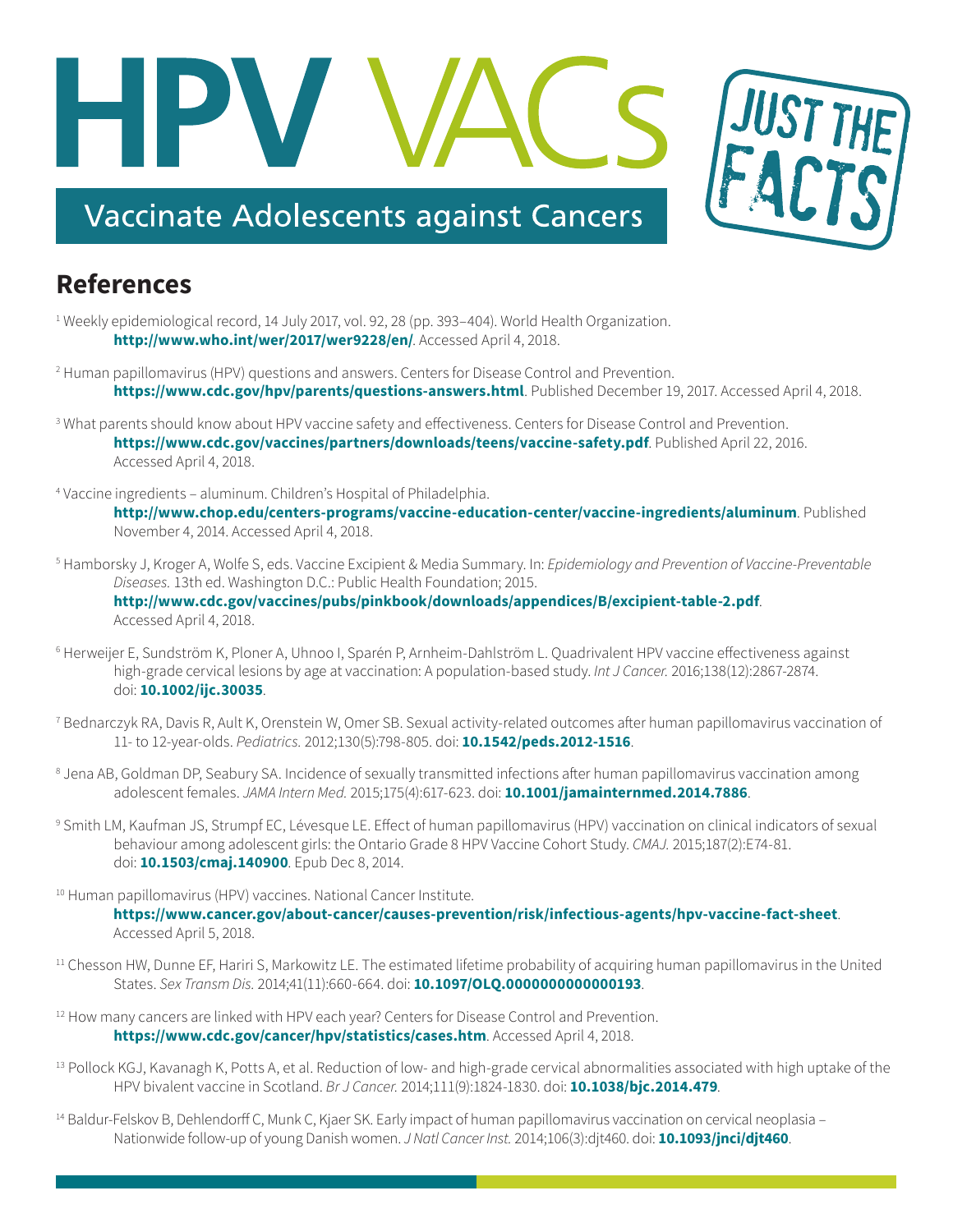

#### **References**

- <span id="page-4-0"></span>1 Weekly epidemiological record, 14 July 2017, vol. 92, 28 (pp. 393–404). World Health Organization. **<http://www.who.int/wer/2017/wer9228/en/>**. Accessed April 4, 2018.
- <span id="page-4-1"></span>2 Human papillomavirus (HPV) questions and answers. Centers for Disease Control and Prevention. **<https://www.cdc.gov/hpv/parents/questions-answers.html>**. Published December 19, 2017. Accessed April 4, 2018.
- <span id="page-4-2"></span>3 What parents should know about HPV vaccine safety and effectiveness. Centers for Disease Control and Prevention. **<https://www.cdc.gov/vaccines/partners/downloads/teens/vaccine-safety.pdf>**. Published April 22, 2016. Accessed April 4, 2018.
- <span id="page-4-3"></span>4 Vaccine ingredients – aluminum. Children's Hospital of Philadelphia. **<http://www.chop.edu/centers-programs/vaccine-education-center/vaccine-ingredients/aluminum>**. Published

November 4, 2014. Accessed April 4, 2018.

- <span id="page-4-4"></span>5 Hamborsky J, Kroger A, Wolfe S, eds. Vaccine Excipient & Media Summary. In: *Epidemiology and Prevention of Vaccine-Preventable Diseases.* 13th ed. Washington D.C.: Public Health Foundation; 2015. **<http://www.cdc.gov/vaccines/pubs/pinkbook/downloads/appendices/B/excipient-table-2.pdf>**. Accessed April 4, 2018.
- <span id="page-4-5"></span>6 Herweijer E, Sundström K, Ploner A, Uhnoo I, Sparén P, Arnheim-Dahlström L. Quadrivalent HPV vaccine effectiveness against high-grade cervical lesions by age at vaccination: A population-based study. *Int J Cancer.* 2016;138(12):2867-2874. doi: **[10.1002/ijc.30035](https://doi.org/10.1002/ijc.30035)**.
- <span id="page-4-6"></span>7 Bednarczyk RA, Davis R, Ault K, Orenstein W, Omer SB. Sexual activity-related outcomes after human papillomavirus vaccination of 11- to 12-year-olds. *Pediatrics.* 2012;130(5):798-805. doi: **[10.1542/peds.2012-1516](https://doi.org/10.1542/peds.2012-1516)**.
- <span id="page-4-7"></span>8 Jena AB, Goldman DP, Seabury SA. Incidence of sexually transmitted infections after human papillomavirus vaccination among adolescent females. *JAMA Intern Med.* 2015;175(4):617-623. doi: **[10.1001/jamainternmed.2014.7886](https://doi.org/10.1001/jamainternmed.2014.7886)**.
- <span id="page-4-8"></span>9 Smith LM, Kaufman JS, Strumpf EC, Lévesque LE. Effect of human papillomavirus (HPV) vaccination on clinical indicators of sexual behaviour among adolescent girls: the Ontario Grade 8 HPV Vaccine Cohort Study. *CMAJ.* 2015;187(2):E74-81. doi: **[10.1503/cmaj.140900](https://doi.org/10.1503/cmaj.140900)**. Epub Dec 8, 2014.
- <span id="page-4-9"></span>10 Human papillomavirus (HPV) vaccines. National Cancer Institute.
	- **<https://www.cancer.gov/about-cancer/causes-prevention/risk/infectious-agents/hpv-vaccine-fact-sheet>**. Accessed April 5, 2018.
- <span id="page-4-10"></span><sup>11</sup> Chesson HW, Dunne EF, Hariri S, Markowitz LE. The estimated lifetime probability of acquiring human papillomavirus in the United States. *Sex Transm Dis.* 2014;41(11):660-664. doi: **[10.1097/OLQ.0000000000000193](https://doi.org/10.1097/OLQ.0000000000000193)**.
- <span id="page-4-11"></span><sup>12</sup> How many cancers are linked with HPV each year? Centers for Disease Control and Prevention. **<https://www.cdc.gov/cancer/hpv/statistics/cases.htm>**. Accessed April 4, 2018.
- <span id="page-4-12"></span>13 Pollock KGJ, Kavanagh K, Potts A, et al. Reduction of low- and high-grade cervical abnormalities associated with high uptake of the HPV bivalent vaccine in Scotland. *Br J Cancer.* 2014;111(9):1824-1830. doi: **[10.1038/bjc.2014.479](https://doi.org/10.1038/bjc.2014.479)**.
- <span id="page-4-13"></span><sup>14</sup> Baldur-Felskov B, Dehlendorff C, Munk C, Kjaer SK. Early impact of human papillomavirus vaccination on cervical neoplasia – Nationwide follow-up of young Danish women. *J Natl Cancer Inst.* 2014;106(3):djt460. doi: **[10.1093/jnci/djt460](https://doi.org/10.1093/jnci/djt460)**.